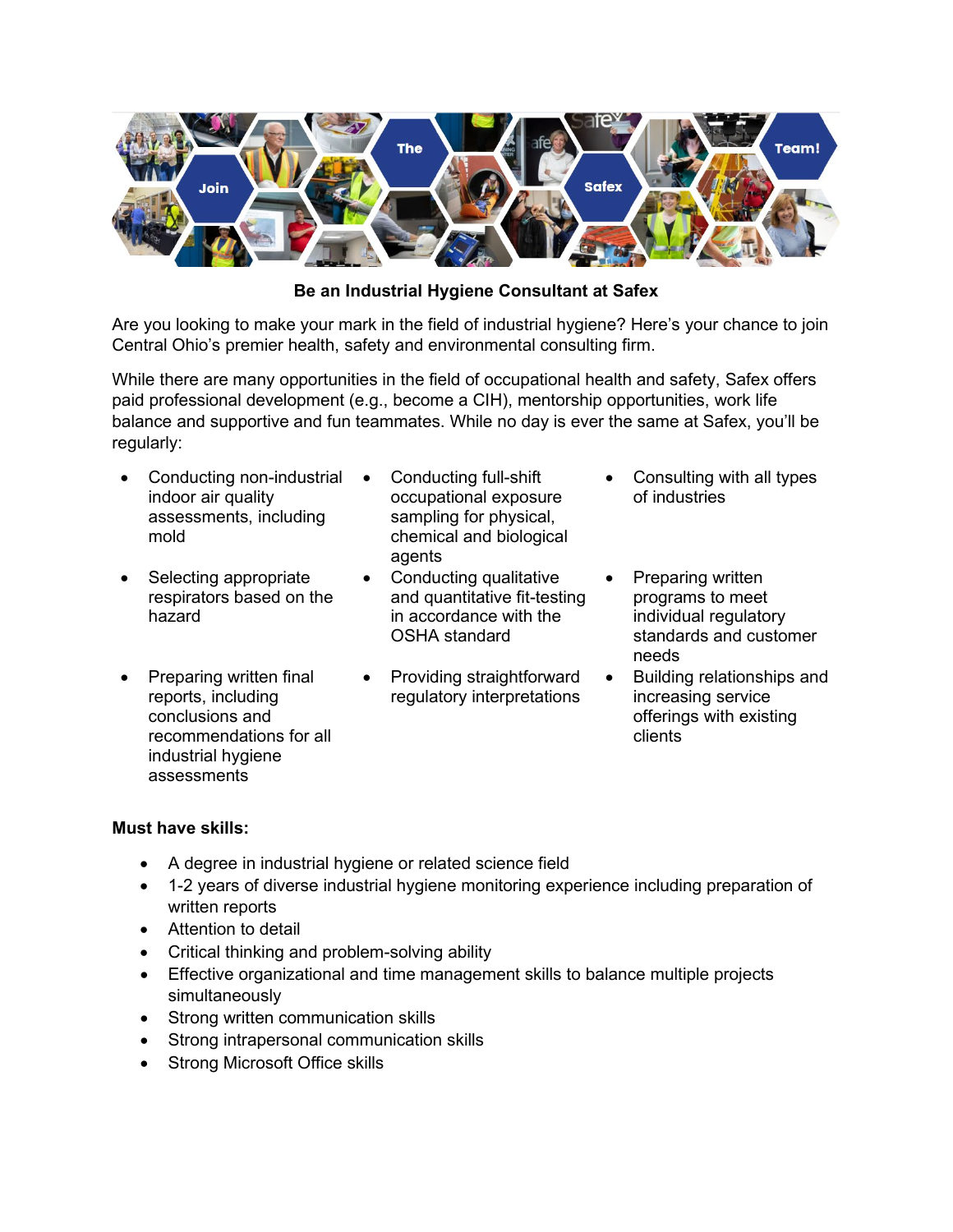

**Be an Industrial Hygiene Consultant at Safex**

Are you looking to make your mark in the field of industrial hygiene? Here's your chance to join Central Ohio's premier health, safety and environmental consulting firm.

While there are many opportunities in the field of occupational health and safety, Safex offers paid professional development (e.g., become a CIH), mentorship opportunities, work life balance and supportive and fun teammates. While no day is ever the same at Safex, you'll be regularly:

- Conducting non-industrial indoor air quality assessments, including mold
- Selecting appropriate respirators based on the hazard
- Preparing written final reports, including conclusions and recommendations for all industrial hygiene assessments
- Conducting full-shift occupational exposure sampling for physical, chemical and biological agents
- Conducting qualitative and quantitative fit-testing in accordance with the OSHA standard
- Providing straightforward regulatory interpretations
- Consulting with all types of industries
- Preparing written programs to meet individual regulatory standards and customer needs
- Building relationships and increasing service offerings with existing clients

## **Must have skills:**

- A degree in industrial hygiene or related science field
- 1-2 years of diverse industrial hygiene monitoring experience including preparation of written reports
- Attention to detail
- Critical thinking and problem-solving ability
- Effective organizational and time management skills to balance multiple projects simultaneously
- Strong written communication skills
- Strong intrapersonal communication skills
- Strong Microsoft Office skills